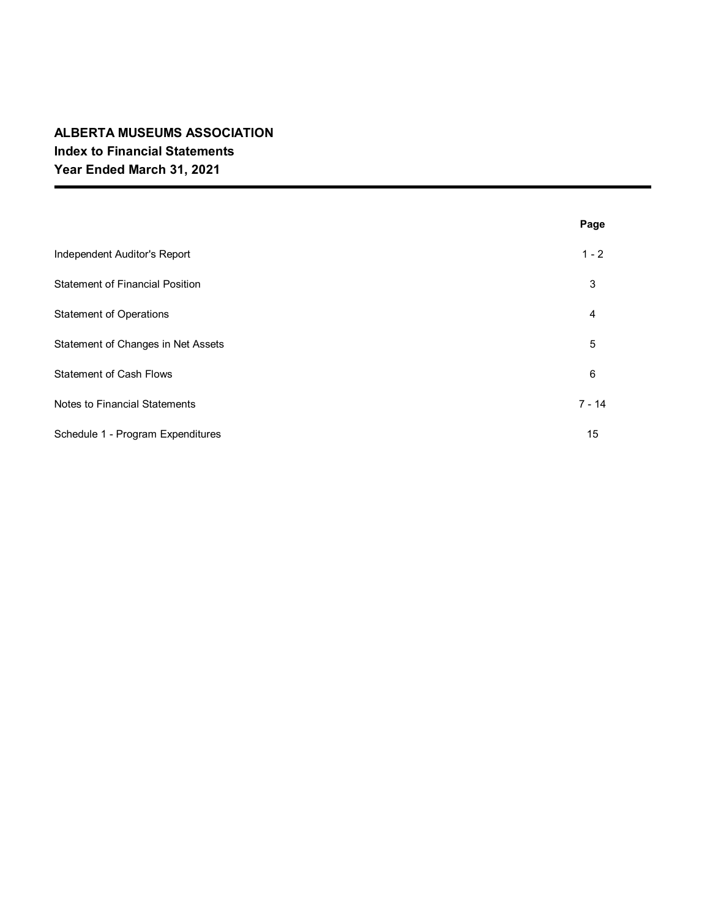|                                        | Page     |
|----------------------------------------|----------|
| Independent Auditor's Report           | $1 - 2$  |
| <b>Statement of Financial Position</b> | 3        |
| <b>Statement of Operations</b>         | 4        |
| Statement of Changes in Net Assets     | 5        |
| <b>Statement of Cash Flows</b>         | 6        |
| Notes to Financial Statements          | $7 - 14$ |
| Schedule 1 - Program Expenditures      | 15       |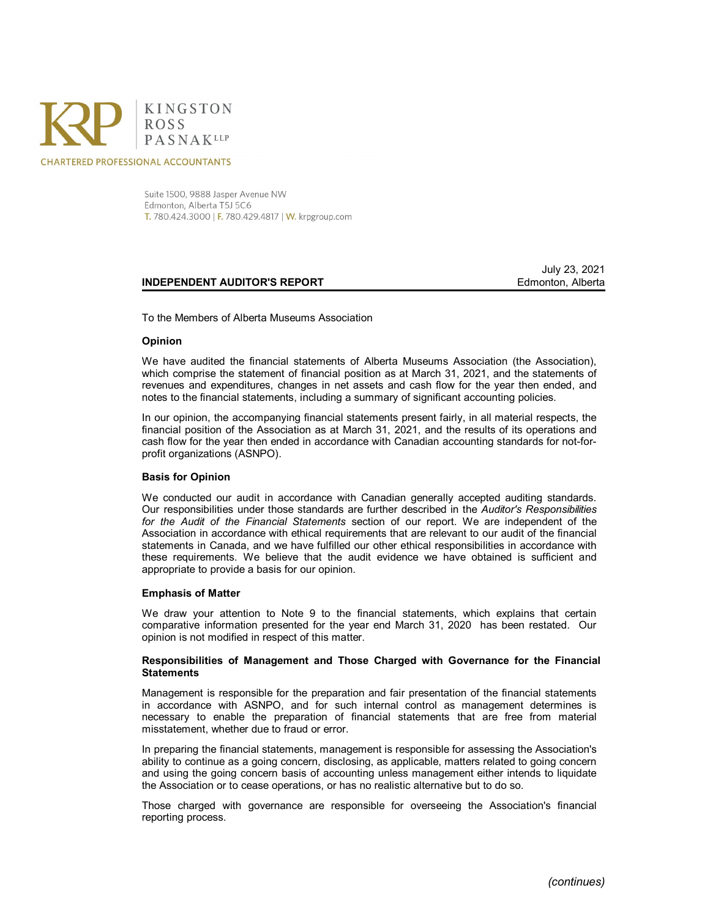

**CHARTERED PROFESSIONAL ACCOUNTANTS** 

Suite 1500, 9888 Jasper Avenue NW Edmonton, Alberta T5J 5C6 T. 780.424.3000 | F. 780.429.4817 | W. krpgroup.com

#### **INDEPENDENT AUDITOR'S REPORT AUDITOR'S REPORT**

July 23, 2021

To the Members of Alberta Museums Association

#### **Opinion**

We have audited the financial statements of Alberta Museums Association (the Association), which comprise the statement of financial position as at March 31, 2021, and the statements of revenues and expenditures, changes in net assets and cash flow for the year then ended, and notes to the financial statements, including a summary of significant accounting policies.

In our opinion, the accompanying financial statements present fairly, in all material respects, the financial position of the Association as at March 31, 2021, and the results of its operations and cash flow for the year then ended in accordance with Canadian accounting standards for not-forprofit organizations (ASNPO).

#### **Basis for Opinion**

We conducted our audit in accordance with Canadian generally accepted auditing standards. Our responsibilities under those standards are further described in the *Auditor's Responsibilities for the Audit of the Financial Statements* section of our report. We are independent of the Association in accordance with ethical requirements that are relevant to our audit of the financial statements in Canada, and we have fulfilled our other ethical responsibilities in accordance with these requirements. We believe that the audit evidence we have obtained is sufficient and appropriate to provide a basis for our opinion.

#### **Emphasis of Matter**

We draw your attention to Note 9 to the financial statements, which explains that certain comparative information presented for the year end March 31, 2020 has been restated. Our opinion is not modified in respect of this matter.

#### **Responsibilities of Management and Those Charged with Governance for the Financial Statements**

Management is responsible for the preparation and fair presentation of the financial statements in accordance with ASNPO, and for such internal control as management determines is necessary to enable the preparation of financial statements that are free from material misstatement, whether due to fraud or error.

In preparing the financial statements, management is responsible for assessing the Association's ability to continue as a going concern, disclosing, as applicable, matters related to going concern and using the going concern basis of accounting unless management either intends to liquidate the Association or to cease operations, or has no realistic alternative but to do so.

Those charged with governance are responsible for overseeing the Association's financial reporting process.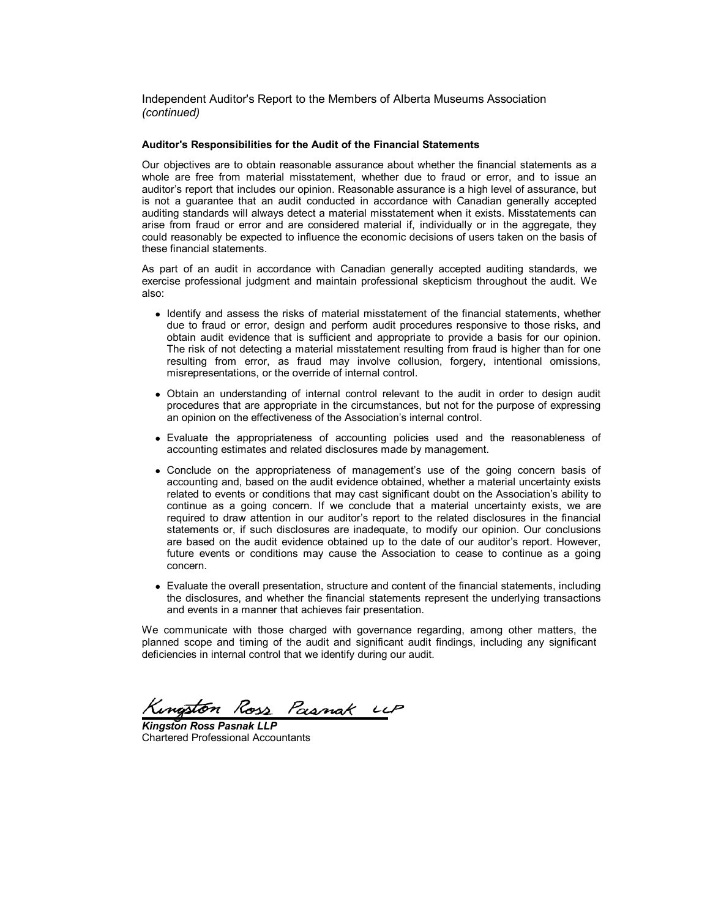Independent Auditor's Report to the Members of Alberta Museums Association *(continued)*

#### **Auditor's Responsibilities for the Audit of the Financial Statements**

Our objectives are to obtain reasonable assurance about whether the financial statements as a whole are free from material misstatement, whether due to fraud or error, and to issue an auditor's report that includes our opinion. Reasonable assurance is a high level of assurance, but is not a guarantee that an audit conducted in accordance with Canadian generally accepted auditing standards will always detect a material misstatement when it exists. Misstatements can arise from fraud or error and are considered material if, individually or in the aggregate, they could reasonably be expected to influence the economic decisions of users taken on the basis of these financial statements.

As part of an audit in accordance with Canadian generally accepted auditing standards, we exercise professional judgment and maintain professional skepticism throughout the audit. We also:

- Identify and assess the risks of material misstatement of the financial statements, whether due to fraud or error, design and perform audit procedures responsive to those risks, and obtain audit evidence that is sufficient and appropriate to provide a basis for our opinion. The risk of not detecting a material misstatement resulting from fraud is higher than for one resulting from error, as fraud may involve collusion, forgery, intentional omissions, misrepresentations, or the override of internal control.
- Obtain an understanding of internal control relevant to the audit in order to design audit procedures that are appropriate in the circumstances, but not for the purpose of expressing an opinion on the effectiveness of the Association's internal control.
- Evaluate the appropriateness of accounting policies used and the reasonableness of accounting estimates and related disclosures made by management.
- Conclude on the appropriateness of management's use of the going concern basis of accounting and, based on the audit evidence obtained, whether a material uncertainty exists related to events or conditions that may cast significant doubt on the Association's ability to continue as a going concern. If we conclude that a material uncertainty exists, we are required to draw attention in our auditor's report to the related disclosures in the financial statements or, if such disclosures are inadequate, to modify our opinion. Our conclusions are based on the audit evidence obtained up to the date of our auditor's report. However, future events or conditions may cause the Association to cease to continue as a going concern.
- Evaluate the overall presentation, structure and content of the financial statements, including the disclosures, and whether the financial statements represent the underlying transactions and events in a manner that achieves fair presentation.

We communicate with those charged with governance regarding, among other matters, the planned scope and timing of the audit and significant audit findings, including any significant deficiencies in internal control that we identify during our audit.

Kingston Ross Pasnak UP

*Kingston Ross Pasnak LLP* Chartered Professional Accountants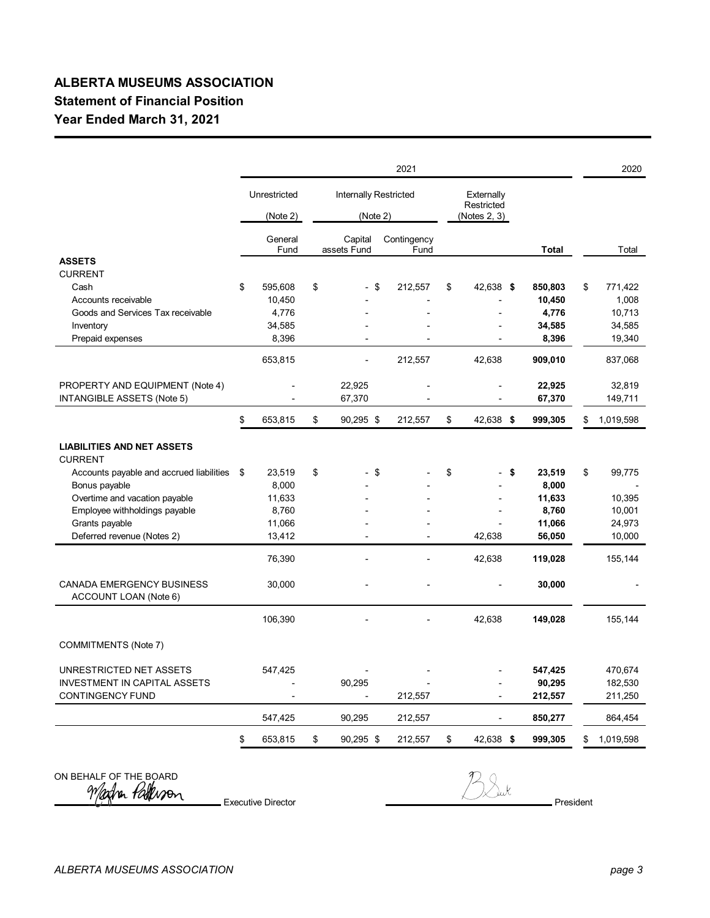# **ALBERTA MUSEUMS ASSOCIATION Statement of Financial Position Year Ended March 31, 2021**

|                                                           |                         |                        | 2021                |                          |                              |    |                   | 2020                   |
|-----------------------------------------------------------|-------------------------|------------------------|---------------------|--------------------------|------------------------------|----|-------------------|------------------------|
|                                                           | Unrestricted            | Internally Restricted  |                     | Externally<br>Restricted |                              |    |                   |                        |
|                                                           | (Note 2)                | (Note 2)               |                     |                          | (Notes 2, 3)                 |    |                   |                        |
|                                                           | General<br>Fund         | Capital<br>assets Fund | Contingency<br>Fund |                          |                              |    | Total             | Total                  |
| <b>ASSETS</b>                                             |                         |                        |                     |                          |                              |    |                   |                        |
| <b>CURRENT</b>                                            |                         |                        |                     |                          |                              |    |                   |                        |
| Cash<br>Accounts receivable                               | \$<br>595,608<br>10,450 | \$<br>$\blacksquare$   | \$<br>212,557       | \$                       | 42,638 \$                    |    | 850,803<br>10,450 | \$<br>771,422<br>1,008 |
| Goods and Services Tax receivable                         | 4,776                   |                        |                     |                          |                              |    | 4,776             | 10,713                 |
| Inventory                                                 | 34,585                  |                        |                     |                          |                              |    | 34,585            | 34,585                 |
| Prepaid expenses                                          | 8,396                   |                        |                     |                          |                              |    | 8,396             | 19,340                 |
|                                                           |                         |                        |                     |                          |                              |    |                   |                        |
|                                                           | 653,815                 | $\overline{a}$         | 212,557             |                          | 42,638                       |    | 909,010           | 837,068                |
| PROPERTY AND EQUIPMENT (Note 4)                           |                         | 22,925                 |                     |                          |                              |    | 22,925            | 32,819                 |
| INTANGIBLE ASSETS (Note 5)                                |                         | 67,370                 |                     |                          |                              |    | 67,370            | 149,711                |
|                                                           | \$<br>653,815           | \$<br>$90,295$ \$      | 212,557             | \$                       | 42,638 \$                    |    | 999,305           | \$<br>1,019,598        |
| <b>LIABILITIES AND NET ASSETS</b><br><b>CURRENT</b>       |                         |                        |                     |                          |                              |    |                   |                        |
| Accounts payable and accrued liabilities                  | \$<br>23,519            | \$                     | \$                  | \$                       |                              | \$ | 23,519            | \$<br>99,775           |
| Bonus payable                                             | 8,000                   |                        |                     |                          |                              |    | 8,000             |                        |
| Overtime and vacation payable                             | 11,633                  |                        |                     |                          |                              |    | 11,633            | 10,395                 |
| Employee withholdings payable                             | 8,760                   |                        |                     |                          |                              |    | 8,760             | 10,001                 |
| Grants payable                                            | 11,066                  |                        |                     |                          |                              |    | 11,066            | 24,973                 |
| Deferred revenue (Notes 2)                                | 13,412                  |                        |                     |                          | 42.638                       |    | 56,050            | 10,000                 |
|                                                           | 76,390                  |                        |                     |                          | 42,638                       |    | 119,028           | 155,144                |
| <b>CANADA EMERGENCY BUSINESS</b><br>ACCOUNT LOAN (Note 6) | 30,000                  |                        |                     |                          |                              |    | 30,000            |                        |
|                                                           | 106,390                 |                        |                     |                          | 42,638                       |    | 149,028           | 155,144                |
| COMMITMENTS (Note 7)                                      |                         |                        |                     |                          |                              |    |                   |                        |
| UNRESTRICTED NET ASSETS                                   | 547,425                 |                        |                     |                          |                              |    | 547,425           | 470,674                |
| <b>INVESTMENT IN CAPITAL ASSETS</b>                       |                         | 90,295                 |                     |                          |                              |    | 90,295            | 182,530                |
| <b>CONTINGENCY FUND</b>                                   |                         |                        | 212,557             |                          | $\overline{a}$               |    | 212,557           | 211,250                |
|                                                           | 547,425                 | 90,295                 | 212,557             |                          | $\qquad \qquad \blacksquare$ |    | 850,277           | 864,454                |
|                                                           | \$<br>653,815           | \$<br>$90,295$ \$      | 212,557             | \$                       | 42,638 \$                    |    | 999,305           | \$<br>1,019,598        |
|                                                           |                         |                        |                     |                          |                              |    |                   |                        |

ON BEHALF OF THE BOARD<br>*Madre Pallwoon* 

 $\overline{P}_{\text{L}}$  Executive Director President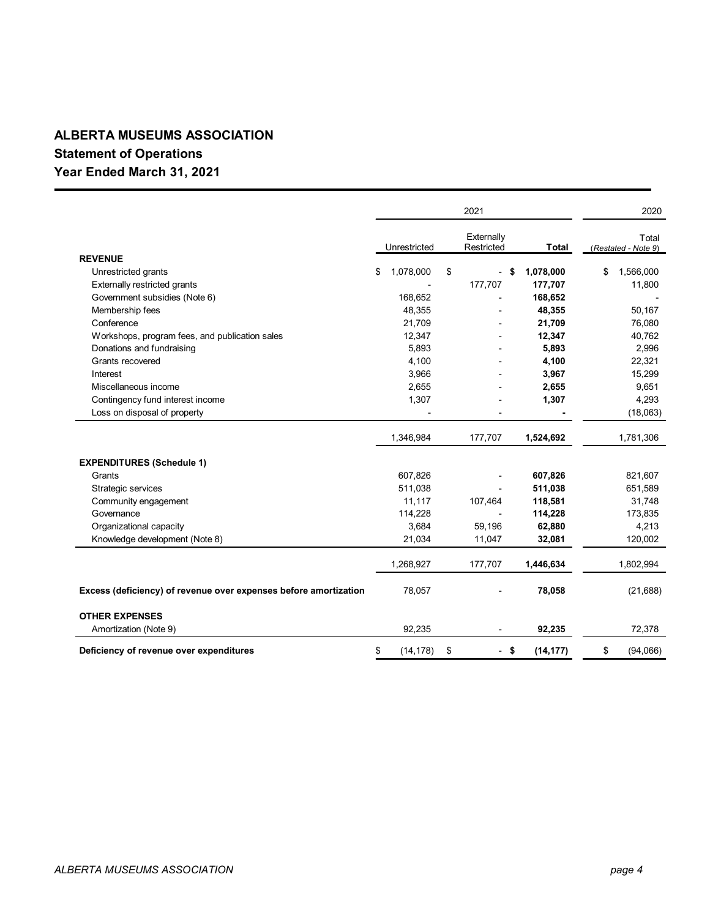# **ALBERTA MUSEUMS ASSOCIATION Statement of Operations Year Ended March 31, 2021**

|                                                                  |                 | 2021                     |           | 2020                         |
|------------------------------------------------------------------|-----------------|--------------------------|-----------|------------------------------|
|                                                                  | Unrestricted    | Externally<br>Restricted | Total     | Total<br>(Restated - Note 9) |
| <b>REVENUE</b>                                                   |                 |                          |           |                              |
| Unrestricted grants                                              | \$<br>1,078,000 | \$<br>\$                 | 1,078,000 | \$<br>1,566,000              |
| <b>Externally restricted grants</b>                              |                 | 177,707                  | 177,707   | 11,800                       |
| Government subsidies (Note 6)                                    | 168,652         |                          | 168,652   |                              |
| Membership fees                                                  | 48,355          |                          | 48,355    | 50,167                       |
| Conference                                                       | 21,709          |                          | 21,709    | 76,080                       |
| Workshops, program fees, and publication sales                   | 12,347          |                          | 12,347    | 40,762                       |
| Donations and fundraising                                        | 5,893           |                          | 5,893     | 2,996                        |
| Grants recovered                                                 | 4,100           |                          | 4,100     | 22,321                       |
| Interest                                                         | 3,966           |                          | 3,967     | 15,299                       |
| Miscellaneous income                                             | 2,655           |                          | 2,655     | 9,651                        |
| Contingency fund interest income                                 | 1,307           |                          | 1,307     | 4,293                        |
| Loss on disposal of property                                     |                 |                          |           | (18,063)                     |
|                                                                  | 1,346,984       | 177,707                  | 1,524,692 | 1,781,306                    |
| <b>EXPENDITURES (Schedule 1)</b>                                 |                 |                          |           |                              |
| Grants                                                           | 607,826         |                          | 607,826   | 821,607                      |
| Strategic services                                               | 511,038         |                          | 511,038   | 651,589                      |
| Community engagement                                             | 11,117          | 107,464                  | 118,581   | 31,748                       |
| Governance                                                       | 114,228         |                          | 114,228   | 173,835                      |
| Organizational capacity                                          | 3,684           | 59,196                   | 62,880    | 4,213                        |
| Knowledge development (Note 8)                                   | 21,034          | 11,047                   | 32,081    | 120,002                      |
|                                                                  | 1,268,927       | 177,707                  | 1,446,634 | 1,802,994                    |
| Excess (deficiency) of revenue over expenses before amortization | 78,057          |                          | 78,058    | (21, 688)                    |
| <b>OTHER EXPENSES</b>                                            |                 |                          |           |                              |
| Amortization (Note 9)                                            | 92,235          |                          | 92,235    | 72,378                       |
| Deficiency of revenue over expenditures                          | \$<br>(14, 178) | \$<br>- \$               | (14, 177) | \$<br>(94,066)               |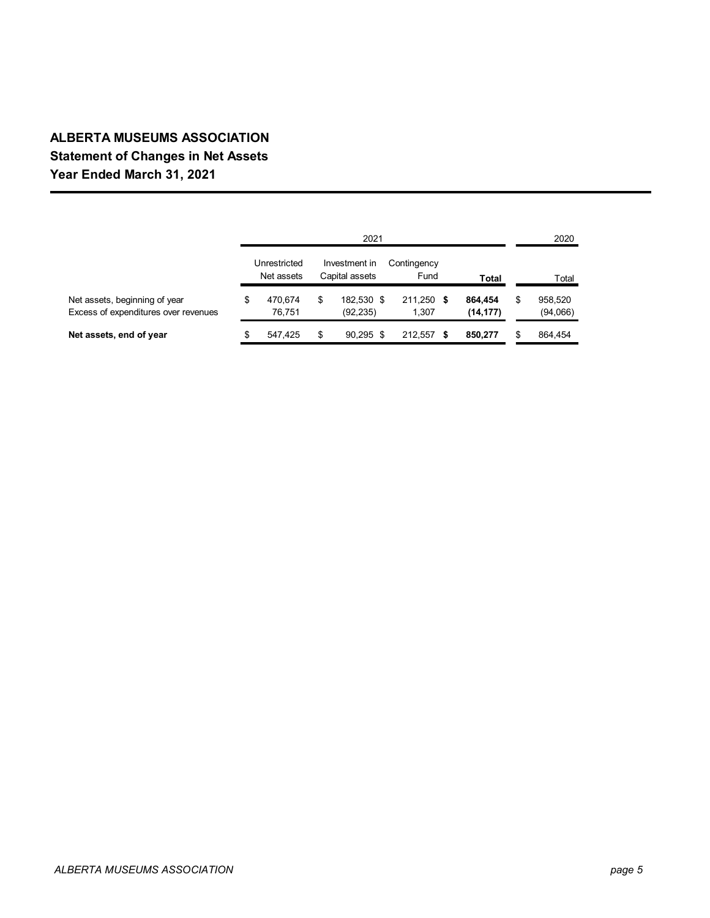# **ALBERTA MUSEUMS ASSOCIATION Statement of Changes in Net Assets Year Ended March 31, 2021**

|                                                                       |                            |                   |                                 | 2020                    |                     |  |                      |  |                     |  |       |
|-----------------------------------------------------------------------|----------------------------|-------------------|---------------------------------|-------------------------|---------------------|--|----------------------|--|---------------------|--|-------|
|                                                                       | Unrestricted<br>Net assets |                   | Investment in<br>Capital assets |                         | Contingency<br>Fund |  |                      |  | Total               |  | Total |
| Net assets, beginning of year<br>Excess of expenditures over revenues | S                          | 470.674<br>76.751 | S                               | 182.530 \$<br>(92, 235) | 211,250 \$<br>1.307 |  | 864.454<br>(14, 177) |  | 958,520<br>(94,066) |  |       |
| Net assets, end of year                                               | S                          | 547,425           |                                 | $90.295$ \$             | 212.557             |  | 850,277              |  | 864.454             |  |       |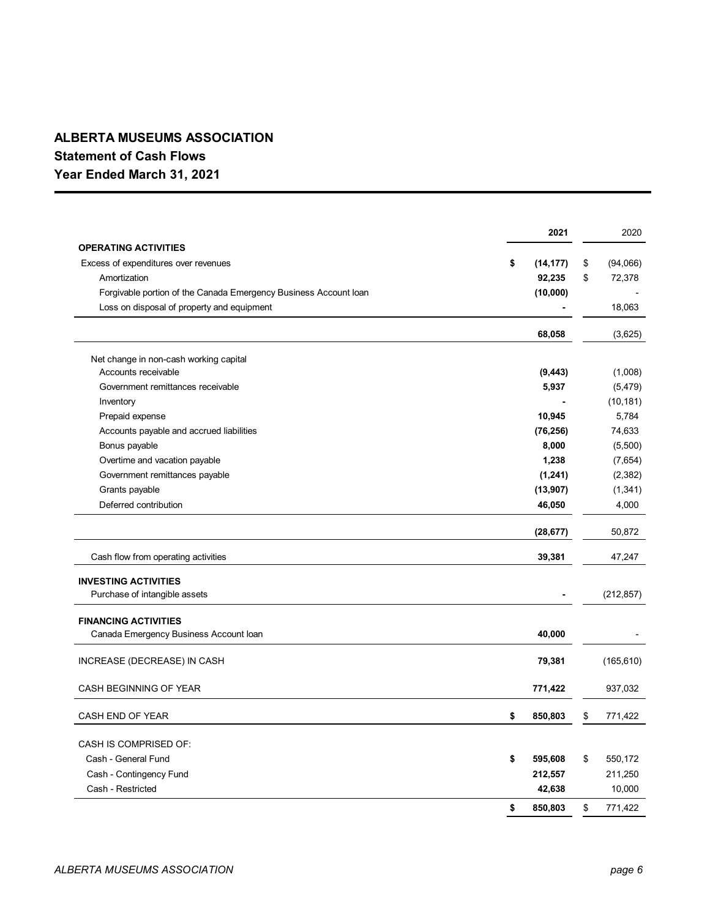# **ALBERTA MUSEUMS ASSOCIATION Statement of Cash Flows Year Ended March 31, 2021**

|                                                                  | 2021            | 2020           |
|------------------------------------------------------------------|-----------------|----------------|
| <b>OPERATING ACTIVITIES</b>                                      |                 |                |
| Excess of expenditures over revenues                             | \$<br>(14, 177) | \$<br>(94,066) |
| Amortization                                                     | 92,235          | \$<br>72,378   |
| Forgivable portion of the Canada Emergency Business Account loan | (10,000)        |                |
| Loss on disposal of property and equipment                       |                 | 18,063         |
|                                                                  | 68,058          | (3,625)        |
| Net change in non-cash working capital                           |                 |                |
| Accounts receivable                                              | (9, 443)        | (1,008)        |
| Government remittances receivable                                | 5,937           | (5, 479)       |
| Inventory                                                        |                 | (10, 181)      |
| Prepaid expense                                                  | 10,945          | 5,784          |
| Accounts payable and accrued liabilities                         | (76, 256)       | 74,633         |
| Bonus payable                                                    | 8,000           | (5,500)        |
| Overtime and vacation payable                                    | 1,238           | (7,654)        |
| Government remittances payable                                   | (1, 241)        | (2, 382)       |
| Grants payable                                                   | (13, 907)       | (1, 341)       |
| Deferred contribution                                            | 46,050          | 4,000          |
|                                                                  | (28, 677)       | 50,872         |
| Cash flow from operating activities                              | 39,381          | 47,247         |
| <b>INVESTING ACTIVITIES</b>                                      |                 |                |
| Purchase of intangible assets                                    |                 | (212, 857)     |
| <b>FINANCING ACTIVITIES</b>                                      |                 |                |
| Canada Emergency Business Account Ioan                           | 40,000          |                |
| INCREASE (DECREASE) IN CASH                                      | 79,381          | (165, 610)     |
| CASH BEGINNING OF YEAR                                           | 771,422         | 937,032        |
| CASH END OF YEAR                                                 | \$<br>850,803   | \$<br>771,422  |
| CASH IS COMPRISED OF:                                            |                 |                |
| Cash - General Fund                                              | \$<br>595,608   | \$<br>550,172  |
| Cash - Contingency Fund                                          | 212,557         | 211,250        |
| Cash - Restricted                                                | 42,638          | 10,000         |
|                                                                  | \$<br>850,803   | \$<br>771,422  |
|                                                                  |                 |                |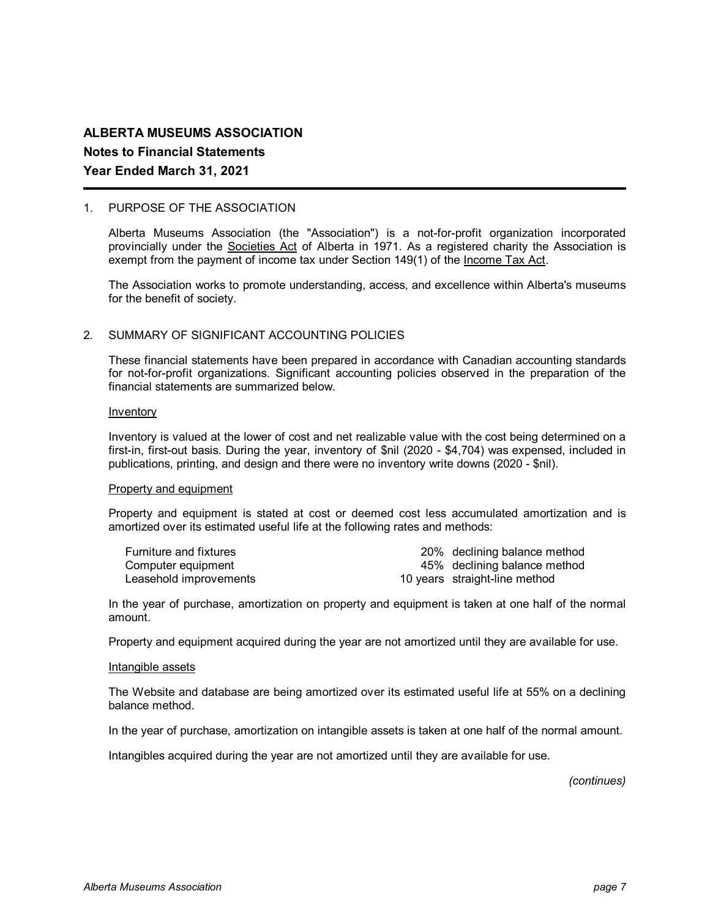### 1. PURPOSE OF THE ASSOCIATION

Alberta Museums Association (the "Association") is a not-for-profit organization incorporated provincially under the Societies Act of Alberta in 1971. As a registered charity the Association is exempt from the payment of income tax under Section 149(1) of the Income Tax Act.

The Association works to promote understanding, access, and excellence within Alberta's museums for the benefit of society.

### 2. SUMMARY OF SIGNIFICANT ACCOUNTING POLICIES

These financial statements have been prepared in accordance with Canadian accounting standards for not-for-profit organizations. Significant accounting policies observed in the preparation of the financial statements are summarized below.

#### Inventory

Inventory is valued at the lower of cost and net realizable value with the cost being determined on a first-in, first-out basis. During the year, inventory of \$nil (2020 - \$4,704) was expensed, included in publications, printing, and design and there were no inventory write downs (2020 - \$nil).

#### Property and equipment

Property and equipment is stated at cost or deemed cost less accumulated amortization and is amortized over its estimated useful life at the following rates and methods:

| <b>Furniture and fixtures</b> | 20% declining balance method  |
|-------------------------------|-------------------------------|
| Computer equipment            | 45% declining balance method  |
| Leasehold improvements        | 10 years straight-line method |

In the year of purchase, amortization on property and equipment is taken at one half of the normal amount.

Property and equipment acquired during the year are not amortized until they are available for use.

#### Intangible assets

The Website and database are being amortized over its estimated useful life at 55% on a declining balance method.

In the year of purchase, amortization on intangible assets is taken at one half of the normal amount.

Intangibles acquired during the year are not amortized until they are available for use.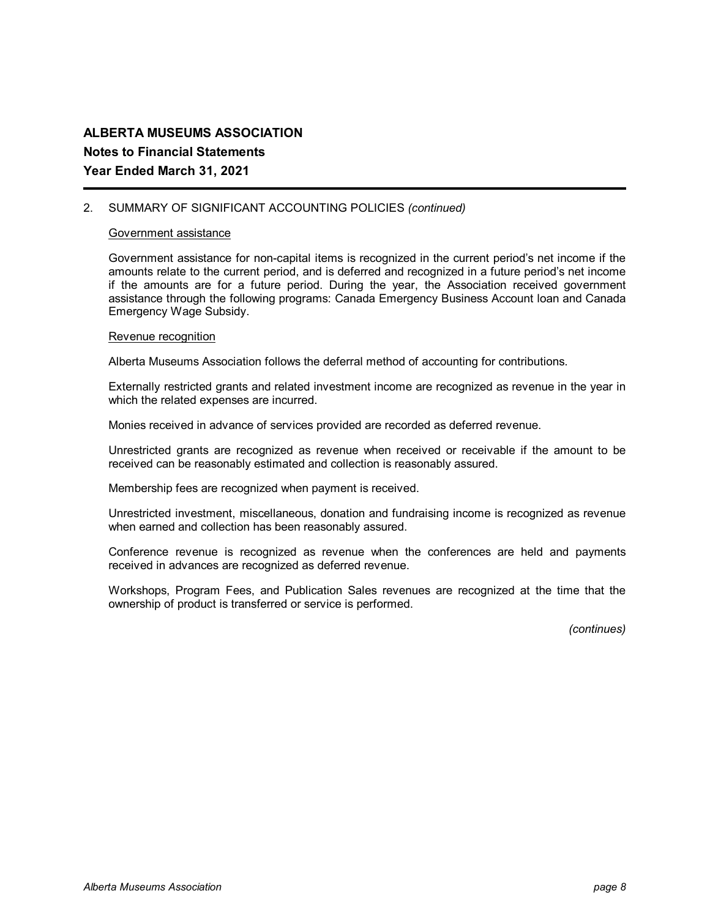## 2. SUMMARY OF SIGNIFICANT ACCOUNTING POLICIES *(continued)*

#### Government assistance

Government assistance for non-capital items is recognized in the current period's net income if the amounts relate to the current period, and is deferred and recognized in a future period's net income if the amounts are for a future period. During the year, the Association received government assistance through the following programs: Canada Emergency Business Account loan and Canada Emergency Wage Subsidy.

#### Revenue recognition

Alberta Museums Association follows the deferral method of accounting for contributions.

Externally restricted grants and related investment income are recognized as revenue in the year in which the related expenses are incurred.

Monies received in advance of services provided are recorded as deferred revenue.

Unrestricted grants are recognized as revenue when received or receivable if the amount to be received can be reasonably estimated and collection is reasonably assured.

Membership fees are recognized when payment is received.

Unrestricted investment, miscellaneous, donation and fundraising income is recognized as revenue when earned and collection has been reasonably assured.

Conference revenue is recognized as revenue when the conferences are held and payments received in advances are recognized as deferred revenue.

Workshops, Program Fees, and Publication Sales revenues are recognized at the time that the ownership of product is transferred or service is performed.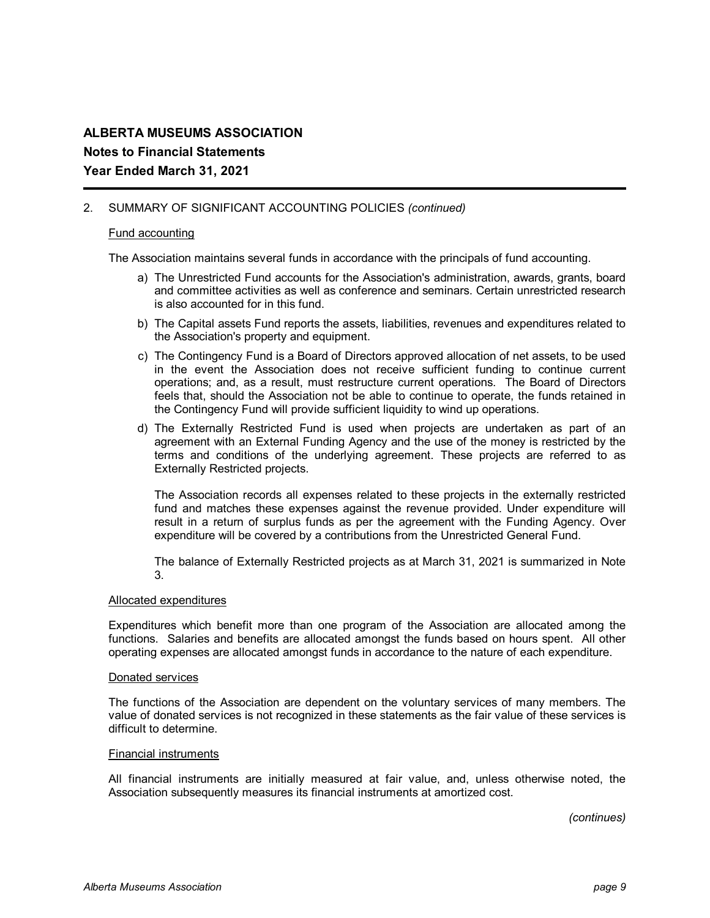## 2. SUMMARY OF SIGNIFICANT ACCOUNTING POLICIES *(continued)*

### Fund accounting

The Association maintains several funds in accordance with the principals of fund accounting.

- a) The Unrestricted Fund accounts for the Association's administration, awards, grants, board and committee activities as well as conference and seminars. Certain unrestricted research is also accounted for in this fund.
- b) The Capital assets Fund reports the assets, liabilities, revenues and expenditures related to the Association's property and equipment.
- c) The Contingency Fund is a Board of Directors approved allocation of net assets, to be used in the event the Association does not receive sufficient funding to continue current operations; and, as a result, must restructure current operations. The Board of Directors feels that, should the Association not be able to continue to operate, the funds retained in the Contingency Fund will provide sufficient liquidity to wind up operations.
- d) The Externally Restricted Fund is used when projects are undertaken as part of an agreement with an External Funding Agency and the use of the money is restricted by the terms and conditions of the underlying agreement. These projects are referred to as Externally Restricted projects.

The Association records all expenses related to these projects in the externally restricted fund and matches these expenses against the revenue provided. Under expenditure will result in a return of surplus funds as per the agreement with the Funding Agency. Over expenditure will be covered by a contributions from the Unrestricted General Fund.

The balance of Externally Restricted projects as at March 31, 2021 is summarized in Note 3.

#### Allocated expenditures

Expenditures which benefit more than one program of the Association are allocated among the functions. Salaries and benefits are allocated amongst the funds based on hours spent. All other operating expenses are allocated amongst funds in accordance to the nature of each expenditure.

#### Donated services

The functions of the Association are dependent on the voluntary services of many members. The value of donated services is not recognized in these statements as the fair value of these services is difficult to determine.

### Financial instruments

All financial instruments are initially measured at fair value, and, unless otherwise noted, the Association subsequently measures its financial instruments at amortized cost.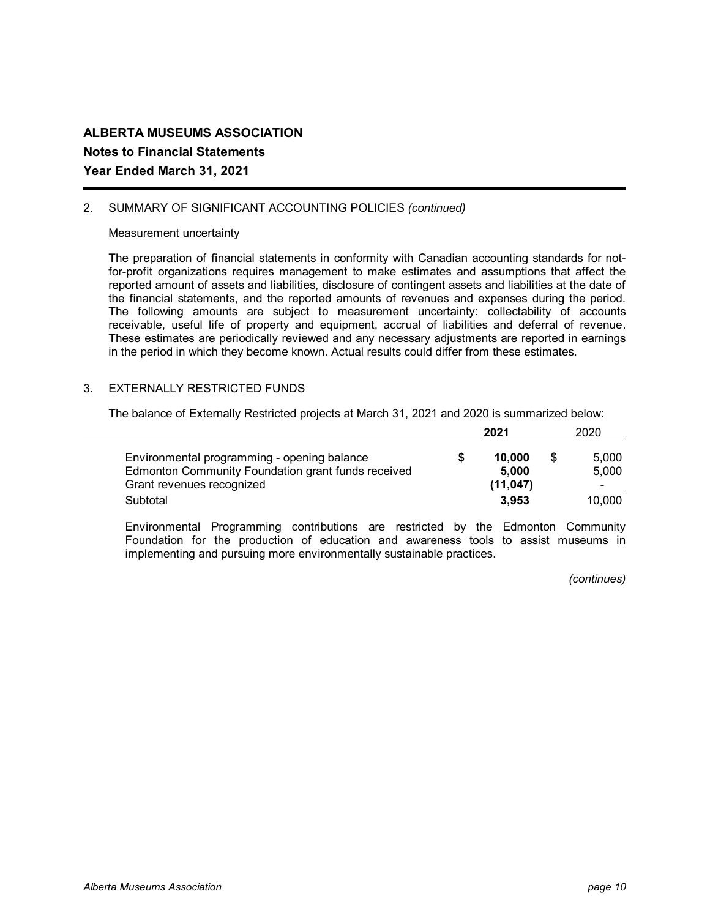## 2. SUMMARY OF SIGNIFICANT ACCOUNTING POLICIES *(continued)*

## Measurement uncertainty

The preparation of financial statements in conformity with Canadian accounting standards for notfor-profit organizations requires management to make estimates and assumptions that affect the reported amount of assets and liabilities, disclosure of contingent assets and liabilities at the date of the financial statements, and the reported amounts of revenues and expenses during the period. The following amounts are subject to measurement uncertainty: collectability of accounts receivable, useful life of property and equipment, accrual of liabilities and deferral of revenue. These estimates are periodically reviewed and any necessary adjustments are reported in earnings in the period in which they become known. Actual results could differ from these estimates.

## 3. EXTERNALLY RESTRICTED FUNDS

The balance of Externally Restricted projects at March 31, 2021 and 2020 is summarized below:

|                                                                                                   | 2021 |                 | 2020           |  |
|---------------------------------------------------------------------------------------------------|------|-----------------|----------------|--|
| Environmental programming - opening balance<br>Edmonton Community Foundation grant funds received |      | 10,000<br>5.000 | 5.000<br>5,000 |  |
| Grant revenues recognized                                                                         |      | (11.047)        | $\blacksquare$ |  |
| Subtotal                                                                                          |      | 3,953           | 10.000         |  |

Environmental Programming contributions are restricted by the Edmonton Community Foundation for the production of education and awareness tools to assist museums in implementing and pursuing more environmentally sustainable practices.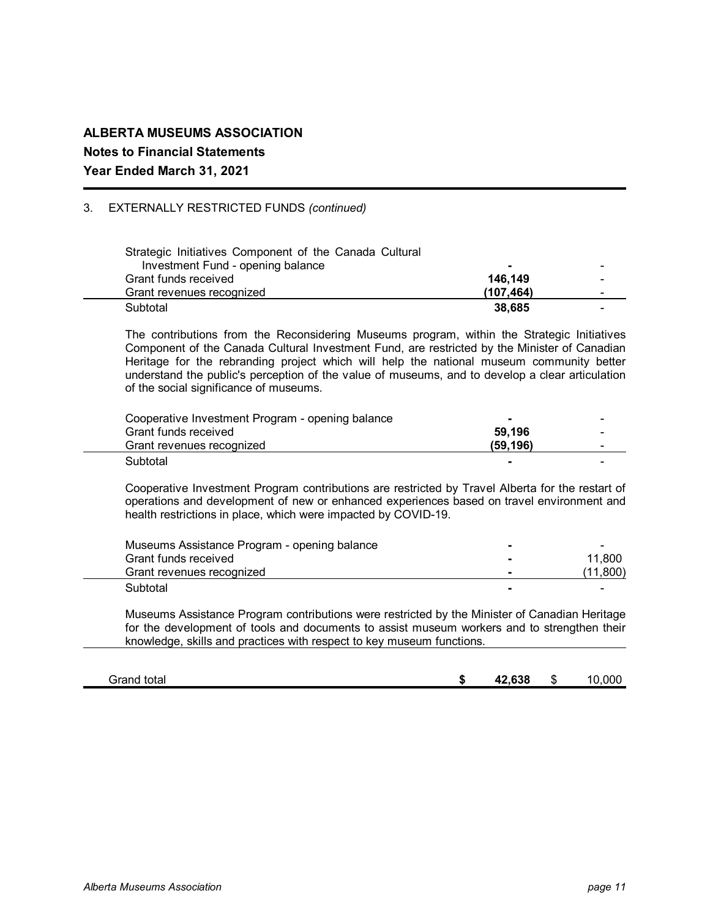## 3. EXTERNALLY RESTRICTED FUNDS *(continued)*

| Strategic Initiatives Component of the Canada Cultural<br>Investment Fund - opening balance                                                                                                                                                                                                                                                                                                                                         | ۰          |  |
|-------------------------------------------------------------------------------------------------------------------------------------------------------------------------------------------------------------------------------------------------------------------------------------------------------------------------------------------------------------------------------------------------------------------------------------|------------|--|
| Grant funds received                                                                                                                                                                                                                                                                                                                                                                                                                | 146,149    |  |
| Grant revenues recognized                                                                                                                                                                                                                                                                                                                                                                                                           | (107, 464) |  |
| Subtotal                                                                                                                                                                                                                                                                                                                                                                                                                            | 38,685     |  |
| The contributions from the Reconsidering Museums program, within the Strategic Initiatives<br>Component of the Canada Cultural Investment Fund, are restricted by the Minister of Canadian<br>Heritage for the rebranding project which will help the national museum community better<br>understand the public's perception of the value of museums, and to develop a clear articulation<br>of the social significance of museums. |            |  |

| Cooperative Investment Program - opening balance |           | -                        |
|--------------------------------------------------|-----------|--------------------------|
| Grant funds received                             | 59.196    | $\overline{\phantom{0}}$ |
| Grant revenues recognized                        | (59, 196) | $\overline{\phantom{0}}$ |
| Subtotal                                         | -         |                          |

Cooperative Investment Program contributions are restricted by Travel Alberta for the restart of operations and development of new or enhanced experiences based on travel environment and health restrictions in place, which were impacted by COVID-19.

| Museums Assistance Program - opening balance | $\blacksquare$ |          |
|----------------------------------------------|----------------|----------|
| Grant funds received                         | $\blacksquare$ | 11.800   |
| Grant revenues recognized                    | -              | (11.800) |
| Subtotal                                     | -              |          |

Museums Assistance Program contributions were restricted by the Minister of Canadian Heritage for the development of tools and documents to assist museum workers and to strengthen their knowledge, skills and practices with respect to key museum functions.

| Grand total | . .<br>-13 | .638<br>ໍ່<br>л | 31 | ,000<br>1O. |
|-------------|------------|-----------------|----|-------------|
|             |            |                 |    |             |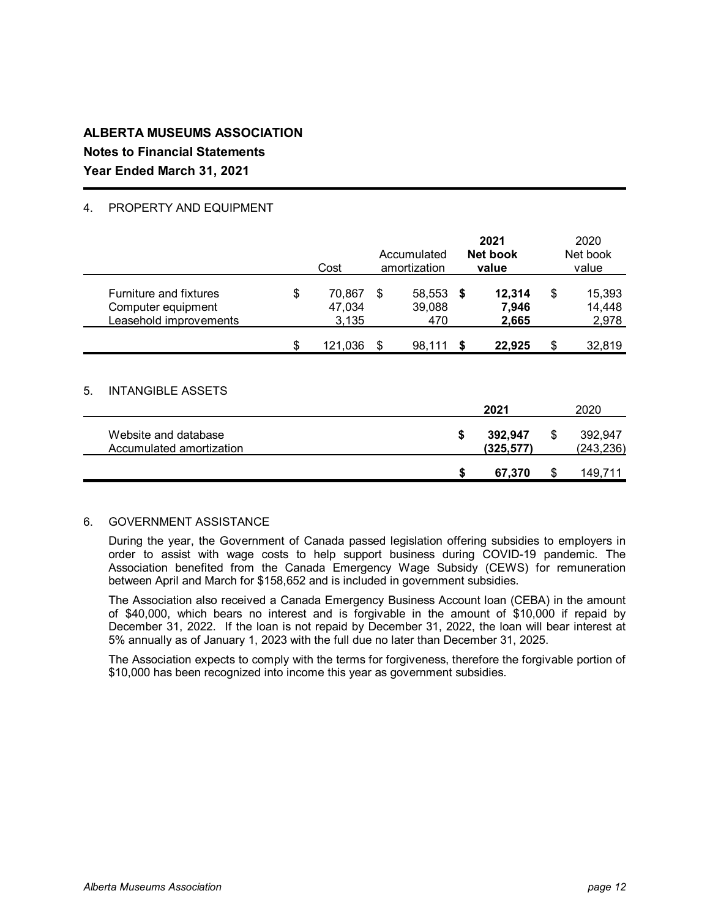## 4. PROPERTY AND EQUIPMENT

|    |                                                                               | Cost                            | Accumulated<br>amortization      |     | 2021<br>Net book<br>value | 2020<br>Net book<br>value       |
|----|-------------------------------------------------------------------------------|---------------------------------|----------------------------------|-----|---------------------------|---------------------------------|
|    | <b>Furniture and fixtures</b><br>Computer equipment<br>Leasehold improvements | \$<br>70,867<br>47,034<br>3,135 | \$<br>58,553 \$<br>39,088<br>470 |     | 12,314<br>7,946<br>2,665  | \$<br>15,393<br>14,448<br>2,978 |
|    |                                                                               | \$<br>121,036                   | \$<br>98,111                     | -\$ | 22,925                    | \$<br>32,819                    |
| 5. | <b>INTANGIBLE ASSETS</b>                                                      |                                 |                                  |     | 2021                      | 2020                            |
|    | Website and database<br>Accumulated amortization                              |                                 |                                  | \$  | 392,947<br>(325,577)      | \$<br>392,947<br>(243, 236)     |
|    |                                                                               |                                 |                                  | \$  | 67,370                    | \$<br>149,711                   |

### 6. GOVERNMENT ASSISTANCE

During the year, the Government of Canada passed legislation offering subsidies to employers in order to assist with wage costs to help support business during COVID-19 pandemic. The Association benefited from the Canada Emergency Wage Subsidy (CEWS) for remuneration between April and March for \$158,652 and is included in government subsidies.

The Association also received a Canada Emergency Business Account loan (CEBA) in the amount of \$40,000, which bears no interest and is forgivable in the amount of \$10,000 if repaid by December 31, 2022. If the loan is not repaid by December 31, 2022, the loan will bear interest at 5% annually as of January 1, 2023 with the full due no later than December 31, 2025.

The Association expects to comply with the terms for forgiveness, therefore the forgivable portion of \$10,000 has been recognized into income this year as government subsidies.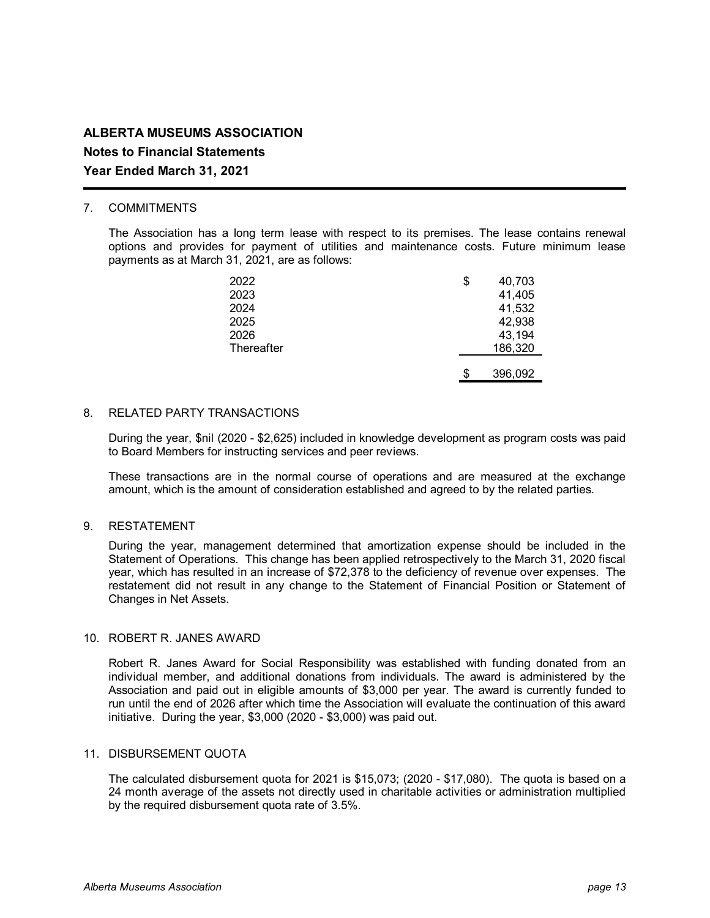## 7. COMMITMENTS

The Association has a long term lease with respect to its premises. The lease contains renewal options and provides for payment of utilities and maintenance costs. Future minimum lease payments as at March 31, 2021, are as follows:

| 2022       | \$<br>40,703 |
|------------|--------------|
| 2023       | 41,405       |
| 2024       | 41,532       |
| 2025       | 42,938       |
| 2026       | 43,194       |
| Thereafter | 186,320      |
|            |              |
|            | 396,092      |

### 8. RELATED PARTY TRANSACTIONS

During the year, \$nil (2020 - \$2,625) included in knowledge development as program costs was paid to Board Members for instructing services and peer reviews.

These transactions are in the normal course of operations and are measured at the exchange amount, which is the amount of consideration established and agreed to by the related parties.

## 9. RESTATEMENT

During the year, management determined that amortization expense should be included in the Statement of Operations. This change has been applied retrospectively to the March 31, 2020 fiscal year, which has resulted in an increase of \$72,378 to the deficiency of revenue over expenses. The restatement did not result in any change to the Statement of Financial Position or Statement of Changes in Net Assets.

### 10. ROBERT R. JANES AWARD

Robert R. Janes Award for Social Responsibility was established with funding donated from an individual member, and additional donations from individuals. The award is administered by the Association and paid out in eligible amounts of \$3,000 per year. The award is currently funded to run until the end of 2026 after which time the Association will evaluate the continuation of this award initiative. During the year, \$3,000 (2020 - \$3,000) was paid out.

## 11. DISBURSEMENT QUOTA

The calculated disbursement quota for 2021 is \$15,073; (2020 - \$17,080). The quota is based on a 24 month average of the assets not directly used in charitable activities or administration multiplied by the required disbursement quota rate of 3.5%.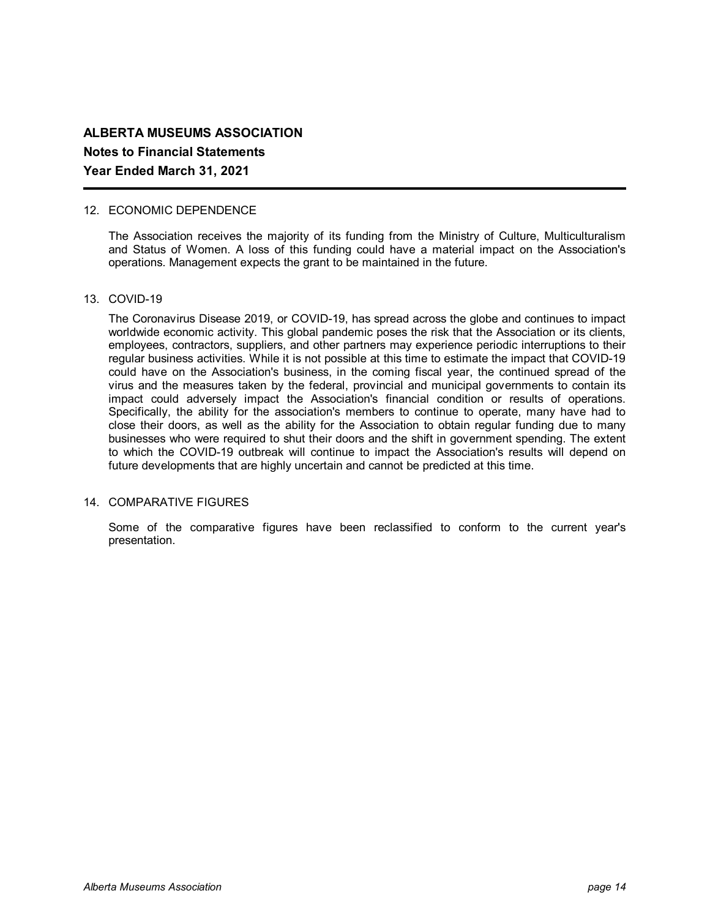### 12. ECONOMIC DEPENDENCE

The Association receives the majority of its funding from the Ministry of Culture, Multiculturalism and Status of Women. A loss of this funding could have a material impact on the Association's operations. Management expects the grant to be maintained in the future.

### 13. COVID-19

The Coronavirus Disease 2019, or COVID-19, has spread across the globe and continues to impact worldwide economic activity. This global pandemic poses the risk that the Association or its clients, employees, contractors, suppliers, and other partners may experience periodic interruptions to their regular business activities. While it is not possible at this time to estimate the impact that COVID-19 could have on the Association's business, in the coming fiscal year, the continued spread of the virus and the measures taken by the federal, provincial and municipal governments to contain its impact could adversely impact the Association's financial condition or results of operations. Specifically, the ability for the association's members to continue to operate, many have had to close their doors, as well as the ability for the Association to obtain regular funding due to many businesses who were required to shut their doors and the shift in government spending. The extent to which the COVID-19 outbreak will continue to impact the Association's results will depend on future developments that are highly uncertain and cannot be predicted at this time.

### 14. COMPARATIVE FIGURES

Some of the comparative figures have been reclassified to conform to the current year's presentation.